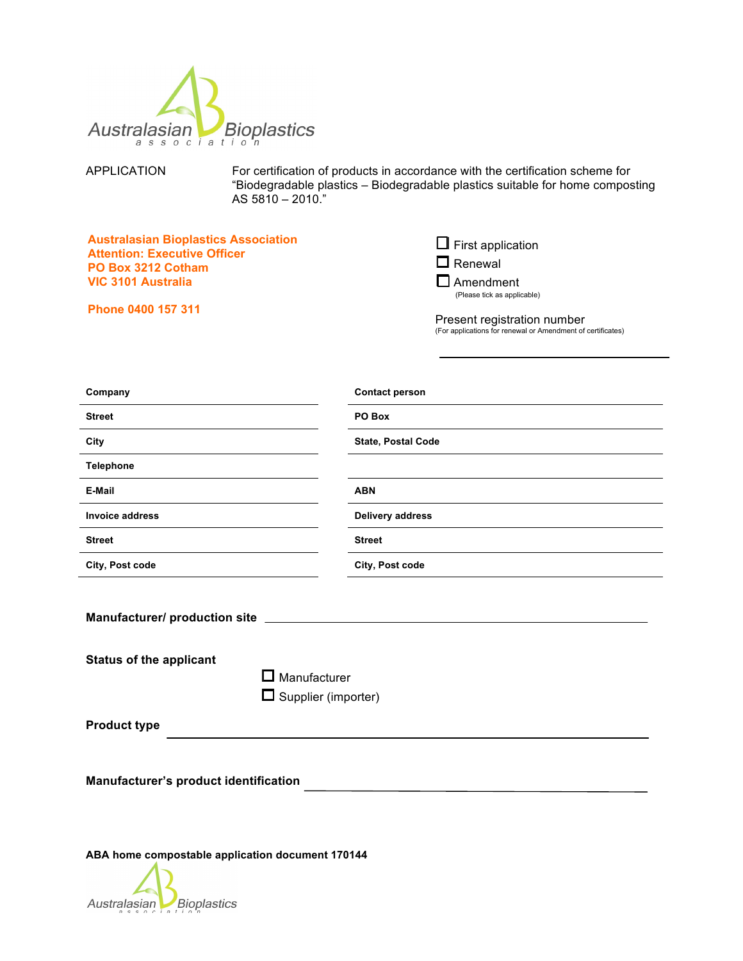

APPLICATION For certification of products in accordance with the certification scheme for "Biodegradable plastics – Biodegradable plastics suitable for home composting AS 5810 – 2010."

| <b>Australasian Bioplastics Association</b> |
|---------------------------------------------|
| <b>Attention: Executive Officer</b>         |
| PO Box 3212 Cotham                          |
| VIC 3101 Australia                          |

**Phone 0400 157 311** 

 $\Box$  First application

 $\square$  Renewal

 $\square$  Amendment (Please tick as applicable)

Present registration number (For applications for renewal or Amendment of certificates)

| Company                                                                                                                          | <b>Contact person</b>   |  |  |  |  |  |
|----------------------------------------------------------------------------------------------------------------------------------|-------------------------|--|--|--|--|--|
| <b>Street</b>                                                                                                                    | PO Box                  |  |  |  |  |  |
| City                                                                                                                             | State, Postal Code      |  |  |  |  |  |
| <b>Telephone</b>                                                                                                                 |                         |  |  |  |  |  |
| E-Mail                                                                                                                           | <b>ABN</b>              |  |  |  |  |  |
| <b>Invoice address</b>                                                                                                           | <b>Delivery address</b> |  |  |  |  |  |
| <b>Street</b>                                                                                                                    | <b>Street</b>           |  |  |  |  |  |
| City, Post code                                                                                                                  | City, Post code         |  |  |  |  |  |
| Manufacturer/ production site _____<br><b>Status of the applicant</b><br>$\square$ Manufacturer<br>Supplier (importer)<br>$\Box$ |                         |  |  |  |  |  |
| <b>Product type</b>                                                                                                              |                         |  |  |  |  |  |
| Manufacturer's product identification                                                                                            |                         |  |  |  |  |  |
| ABA home compostable application document 170144                                                                                 |                         |  |  |  |  |  |

Australasian Bioplastics